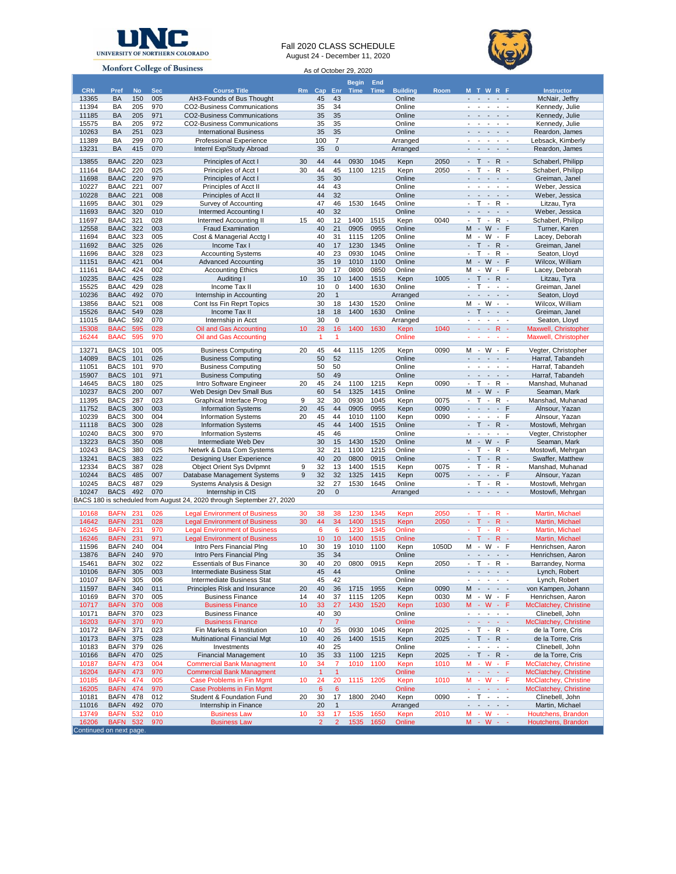

Fall 2020 CLASS SCHEDULE August 24 - December 11, 2020



| <b>Monfort College of Business</b> |                            |            |            |                                                                       |          | As of October 29, 2020 |                |              |              |                  |              |                                                                                                                                                                                                         |                                            |  |  |  |
|------------------------------------|----------------------------|------------|------------|-----------------------------------------------------------------------|----------|------------------------|----------------|--------------|--------------|------------------|--------------|---------------------------------------------------------------------------------------------------------------------------------------------------------------------------------------------------------|--------------------------------------------|--|--|--|
|                                    |                            |            |            |                                                                       |          |                        |                | <b>Begin</b> | End          |                  |              |                                                                                                                                                                                                         |                                            |  |  |  |
| <b>CRN</b>                         | Pref                       | <b>No</b>  | <b>Sec</b> | <b>Course Title</b>                                                   |          | Rm Cap                 | Enr            | Time         | <b>Time</b>  | <b>Building</b>  | Room         | <b>MTWRF</b>                                                                                                                                                                                            | <b>Instructor</b>                          |  |  |  |
| 13365                              | <b>BA</b>                  | 150        | 005        | AH3-Founds of Bus Thought                                             |          | 45                     | 43             |              |              | Online           |              | - - -<br>$\sim$ $ \sim$                                                                                                                                                                                 | McNair, Jeffry                             |  |  |  |
| 11394                              | BA                         | 205        | 970        | CO2-Business Communications                                           |          | 35                     | 34             |              |              | Online           |              | $\overline{a}$<br>$\overline{\phantom{a}}$<br>$\overline{\phantom{a}}$<br>$\overline{\phantom{a}}$<br>$\sim$                                                                                            | Kennedy, Julie                             |  |  |  |
| 11185<br>15575                     | <b>BA</b><br>BA            | 205<br>205 | 971<br>972 | CO2-Business Communications<br><b>CO2-Business Communications</b>     |          | 35<br>35               | 35<br>35       |              |              | Online<br>Online |              | $\sim$<br>$\sim$<br>$\frac{1}{2} \left( \frac{1}{2} \right) \left( \frac{1}{2} \right)$<br>$\overline{\phantom{a}}$<br>$\overline{\phantom{a}}$<br>$\overline{\phantom{a}}$<br>$\overline{\phantom{a}}$ | Kennedy, Julie<br>Kennedy, Julie           |  |  |  |
| 10263                              | <b>BA</b>                  | 251        | 023        | <b>International Business</b>                                         |          | 35                     | 35             |              |              | Online           |              | $\overline{\phantom{a}}$<br>$\sim$<br>$\sim$<br>$\frac{1}{2} \left( \frac{1}{2} \right) \left( \frac{1}{2} \right)$                                                                                     | Reardon, James                             |  |  |  |
| 11389                              | BA                         | 299        | 070        | <b>Professional Experience</b>                                        |          | 100                    | $\overline{7}$ |              |              | Arranged         |              | $\overline{\phantom{a}}$<br>$\overline{\phantom{a}}$                                                                                                                                                    | Lebsack, Kimberly                          |  |  |  |
| 13231                              | <b>BA</b>                  | 415        | 070        | Internl Exp/Study Abroad                                              |          | 35                     | $\mathsf 0$    |              |              | Arranged         |              | $\blacksquare$<br>$\blacksquare$<br>$\sim$<br>$\sim$                                                                                                                                                    | Reardon, James                             |  |  |  |
| 13855                              | <b>BAAC</b>                | 220        | 023        | Principles of Acct I                                                  | 30       | 44                     | 44             | 0930         | 1045         | Kepn             | 2050         | $-T - R -$                                                                                                                                                                                              | Schaberl, Philipp                          |  |  |  |
| 11164                              | <b>BAAC</b>                | 220        | 025        | Principles of Acct I                                                  | 30       | 44                     | 45             | 1100         | 1215         | Kepn             | 2050         | $T -$<br>R<br>$\blacksquare$<br>$\overline{\phantom{a}}$                                                                                                                                                | Schaberl, Philipp                          |  |  |  |
| 11698                              | <b>BAAC</b>                | 220        | 970        | Principles of Acct I                                                  |          | 35                     | 30             |              |              | Online           |              | ÷.<br>$\sim$ $ \sim$<br>$\sim$ $ \sim$                                                                                                                                                                  | Greiman, Janel                             |  |  |  |
| 10227                              | <b>BAAC</b>                | 221        | 007        | Principles of Acct II                                                 |          | 44                     | 43             |              |              | Online           |              | $\blacksquare$<br>$\blacksquare$<br>$\overline{\phantom{a}}$<br>$\overline{\phantom{a}}$                                                                                                                | Weber, Jessica                             |  |  |  |
| 10228                              | <b>BAAC</b>                | 221        | 008        | Principles of Acct II                                                 |          | 44                     | 32             |              |              | Online           |              | $\sim$ $ \sim$<br>$\sim$ $ \sim$<br>$\blacksquare$                                                                                                                                                      | Weber, Jessica                             |  |  |  |
| 11695                              | <b>BAAC</b>                | 301<br>320 | 029        | Survey of Accounting                                                  |          | 47<br>40               | 46<br>32       | 1530         | 1645         | Online           |              | T.<br>$-R -$<br>$\overline{\phantom{a}}$<br>$\sim$ $ \sim$<br>$\blacksquare$<br>$\sim$<br>$\sim$                                                                                                        | Litzau, Tyra                               |  |  |  |
| 11693<br>11697                     | <b>BAAC</b><br>BAAC        | 321        | 010<br>028 | Intermed Accounting<br><b>Intermed Accounting II</b>                  | 15       | 40                     | 12             | 1400         | 1515         | Online<br>Kepn   | 0040         | T<br>$-R -$<br>$\blacksquare$                                                                                                                                                                           | Weber, Jessica<br>Schaberl, Philipp        |  |  |  |
| 12558                              | <b>BAAC</b>                | 322        | 003        | <b>Fraud Examination</b>                                              |          | 40                     | 21             | 0905         | 0955         | Online           |              | - W - F<br>M                                                                                                                                                                                            | Turner, Karen                              |  |  |  |
| 11694                              | BAAC                       | 323        | 005        | Cost & Managerial Acctg I                                             |          | 40                     | 31             | 1115         | 1205         | Online           |              | M - W - F                                                                                                                                                                                               | Lacey, Deborah                             |  |  |  |
| 11692                              | <b>BAAC</b>                | 325        | 026        | Income Tax I                                                          |          | 40                     | 17             | 1230         | 1345         | Online           |              | $T - R -$<br>$\sim$                                                                                                                                                                                     | Greiman, Janel                             |  |  |  |
| 11696                              | <b>BAAC</b>                | 328        | 023        | <b>Accounting Systems</b>                                             |          | 40                     | 23             | 0930         | 1045         | Online           |              | $T -$<br>$R -$<br>$\sim$                                                                                                                                                                                | Seaton, Lloyd                              |  |  |  |
| 11151                              | <b>BAAC</b>                | 421        | 004        | <b>Advanced Accounting</b>                                            |          | 35                     | 19             | 1010         | 1100         | Online           |              | M - W - F                                                                                                                                                                                               | Wilcox, William                            |  |  |  |
| 11161                              | <b>BAAC</b>                | 424        | 002        | <b>Accounting Ethics</b>                                              |          | 30                     | 17             | 0800         | 0850         | Online           |              | M - W - F<br>$\blacksquare$                                                                                                                                                                             | Lacey, Deborah                             |  |  |  |
| 10235<br>15525                     | <b>BAAC</b><br><b>BAAC</b> | 425<br>429 | 028<br>028 | Auditing I<br>Income Tax II                                           | 10       | 35<br>10               | 10<br>0        | 1400<br>1400 | 1515<br>1630 | Kepn<br>Online   | 1005         | $T - R$ -<br>$\sim$<br>$\blacksquare$<br>T.<br>$\sim$ $ \sim$                                                                                                                                           | Litzau, Tyra<br>Greiman, Janel             |  |  |  |
| 10236                              | <b>BAAC</b>                | 492        | 070        | Internship in Accounting                                              |          | 20                     | $\mathbf{1}$   |              |              | Arranged         |              | $\sim$ $ \sim$<br>$\sim$ $ \sim$<br>$\blacksquare$                                                                                                                                                      | Seaton, Lloyd                              |  |  |  |
| 13856                              | <b>BAAC</b>                | 521        | 008        | Cont Iss Fin Reprt Topics                                             |          | 30                     | 18             | 1430         | 1520         | Online           |              | $-W - -$<br>м                                                                                                                                                                                           | Wilcox, William                            |  |  |  |
| 15526                              | <b>BAAC</b>                | 549        | 028        | Income Tax II                                                         |          | 18                     | 18             | 1400         | 1630         | Online           |              | $T - - -$<br>$\blacksquare$                                                                                                                                                                             | Greiman, Janel                             |  |  |  |
| 11015                              | <b>BAAC</b>                | 592        | 070        | Internship in Acct                                                    |          | 30                     | 0              |              |              | Arranged         |              | والوالوا والو                                                                                                                                                                                           | Seaton, Lloyd                              |  |  |  |
| 15308                              | <b>BAAC</b>                | 595        | 028        | Oil and Gas Accounting                                                | 10       | 28                     | 16             | 1400         | 1630         | Kepn             | 1040         | $- - - R -$                                                                                                                                                                                             | Maxwell, Christopher                       |  |  |  |
| 16244                              | <b>BAAC</b>                | 595        | 970        | Oil and Gas Accounting                                                |          | $\mathbf{1}$           | 1              |              |              | Online           |              | عاملت عاملت                                                                                                                                                                                             | Maxwell, Christopher                       |  |  |  |
| 13271                              | <b>BACS</b>                | 101        | 005        | <b>Business Computing</b>                                             | 20       | 45                     | 44             | 1115         | 1205         | Kepn             | 0090         | M - W - F                                                                                                                                                                                               | Vegter, Christopher                        |  |  |  |
| 14089                              | <b>BACS</b>                | 101        | 026        | <b>Business Computing</b>                                             |          | 50                     | 52             |              |              | Online           |              | $\omega$<br>$\sim$<br>$\sim$                                                                                                                                                                            | Harraf, Tabandeh                           |  |  |  |
| 11051                              | <b>BACS</b>                | 101        | 970        | <b>Business Computing</b>                                             |          | 50                     | 50             |              |              | Online           |              | $\sim$ 10 $\sim$ 10 $\sim$<br>$\sim$<br>$\sim$                                                                                                                                                          | Harraf, Tabandeh                           |  |  |  |
| 15907                              | <b>BACS</b>                | 101        | 971        | <b>Business Computing</b>                                             |          | 50                     | 49             |              |              | Online           |              | $\sim$<br>$\sim$<br>$\sim$ $ \sim$<br>$\overline{a}$                                                                                                                                                    | Harraf, Tabandeh                           |  |  |  |
| 14645                              | <b>BACS</b>                | 180<br>200 | 025        | Intro Software Engineer                                               | 20       | 45<br>60               | 24<br>54       | 1100         | 1215<br>1415 | Kepn             | 0090         | - T - R -<br>- W<br>$\sim$<br>F<br>М                                                                                                                                                                    | Manshad, Muhanad                           |  |  |  |
| 10237<br>11395                     | <b>BACS</b><br><b>BACS</b> | 287        | 007<br>023 | Web Design Dev Small Bus<br>Graphical Interface Prog                  | 9        | 32                     | 30             | 1325<br>0930 | 1045         | Online<br>Kepn   | 0075         | $R -$<br>$-$ T $-$                                                                                                                                                                                      | Seaman, Mark<br>Manshad, Muhanad           |  |  |  |
| 11752                              | <b>BACS</b>                | 300        | 003        | <b>Information Systems</b>                                            | 20       | 45                     | 44             | 0905         | 0955         | Kepn             | 0090         | التاريب<br>$\mathcal{L}_{\mathcal{A}}$<br>F                                                                                                                                                             | Alnsour, Yazan                             |  |  |  |
| 10239                              | <b>BACS</b>                | 300        | 004        | <b>Information Systems</b>                                            | 20       | 45                     | 44             | 1010         | 1100         | Kepn             | 0090         | $\blacksquare$<br>$\sim$<br>$\blacksquare$<br>- F                                                                                                                                                       | Alnsour, Yazan                             |  |  |  |
| 11118                              | <b>BACS</b>                | 300        | 028        | <b>Information Systems</b>                                            |          | 45                     | 44             | 1400         | 1515         | Online           |              | $\mathcal{L}_{\mathcal{A}}$<br>$T - R$ -                                                                                                                                                                | Mostowfi, Mehrgan                          |  |  |  |
| 10240                              | <b>BACS</b>                | 300        | 970        | <b>Information Systems</b>                                            |          | 45                     | 46             |              |              | Online           |              | $\blacksquare$<br>$\blacksquare$<br>$\sim$<br>$\sim$                                                                                                                                                    | Vegter, Christopher                        |  |  |  |
| 13223                              | <b>BACS</b>                | 350        | 008        | Intermediate Web Dev                                                  |          | 30                     | 15             | 1430         | 1520         | Online           |              | M - W - F                                                                                                                                                                                               | Seaman, Mark                               |  |  |  |
| 10243                              | <b>BACS</b>                | 380        | 025        | Netwrk & Data Com Systems                                             |          | 32                     | 21             | 1100         | 1215         | Online           |              | $T - R -$<br>$T -$<br>÷,                                                                                                                                                                                | Mostowfi, Mehrgan                          |  |  |  |
| 13241<br>12334                     | <b>BACS</b><br><b>BACS</b> | 383<br>387 | 022<br>028 | Designing User Experience<br><b>Object Orient Sys Dvlpmnt</b>         | 9        | 40<br>32               | 20<br>13       | 0800<br>1400 | 0915<br>1515 | Online<br>Kepn   | 0075         | $R -$<br>R<br>T.<br>$\sim$<br>$\blacksquare$                                                                                                                                                            | Swaffer, Matthew<br>Manshad, Muhanad       |  |  |  |
| 10244                              | <b>BACS</b>                | 485        | 007        | Database Management Systems                                           | 9        | 32                     | 32             | 1325         | 1415         | Kepn             | 0075         | $\overline{\phantom{a}}$<br>$-$ F<br>÷<br>$\sim$                                                                                                                                                        | Alnsour, Yazan                             |  |  |  |
| 10245                              | <b>BACS</b>                | 487        | 029        | Systems Analysis & Design                                             |          | 32                     | 27             | 1530         | 1645         | Online           |              | $R -$<br>$\sim$<br>$T -$                                                                                                                                                                                | Mostowfi, Mehrgan                          |  |  |  |
| 10247                              | <b>BACS</b>                | 492        | 070        | Internship in CIS                                                     |          | 20                     | $\mathbf 0$    |              |              | Arranged         |              | $\overline{\phantom{a}}$<br>$\sim$<br>$\sim$ 10 $\sim$ 10 $\sim$                                                                                                                                        | Mostowfi, Mehrgan                          |  |  |  |
|                                    |                            |            |            | BACS 180 is scheduled from August 24, 2020 through September 27, 2020 |          |                        |                |              |              |                  |              |                                                                                                                                                                                                         |                                            |  |  |  |
| 10168                              | <b>BAFN</b>                | 231        | 026        | <b>Legal Environment of Business</b>                                  | 30       | 38                     | 38             | 1230         | 1345         | Kepn             | 2050         | $R -$<br>T.<br>$\sim$<br>÷.                                                                                                                                                                             | Martin, Michael                            |  |  |  |
| 14642                              | <b>BAFN</b>                | 231        | 028        | <b>Legal Environment of Business</b>                                  | 30       | 44                     | 34             | 1400         | 1515         | Kepn             | 2050         | $\omega$<br>$R -$<br>т<br>÷.                                                                                                                                                                            | Martin, Michael                            |  |  |  |
| 16245                              | <b>BAFN</b>                | 231        | 970        | <b>Legal Environment of Business</b>                                  |          | 6                      | 6              | 1230         | 1345         | Online           |              | R<br>T.<br>$\omega$<br>$\sim$<br>÷.                                                                                                                                                                     | Martin, Michael                            |  |  |  |
| 16246                              | <b>BAFN</b>                | 231        | 971        | <b>Legal Environment of Business</b>                                  |          | 10                     | 10             | 1400         | 1515         | Online           |              | T<br>$\omega$<br>R<br>÷.<br>$\sim$                                                                                                                                                                      | Martin, Michael                            |  |  |  |
| 11596                              | BAFN                       | 240        | 004        | Intro Pers Financial Plng                                             | 10       | 30                     | 19             | 1010         | 1100         | Kepn             | 1050D        | M - W - F                                                                                                                                                                                               | Henrichsen, Aaron                          |  |  |  |
| 13876<br>15461                     | <b>BAFN</b><br><b>BAFN</b> | 240<br>302 | 970<br>022 | Intro Pers Financial Plng<br><b>Essentials of Bus Finance</b>         | 30       | 35<br>40               | 34<br>20       | 0800         | 0915         | Online<br>Kepn   | 2050         | المناجات<br>$\overline{\phantom{a}}$<br>$T - R -$<br>$\overline{\phantom{a}}$                                                                                                                           | Henrichsen, Aaron<br>Barrandey, Norma      |  |  |  |
| 10106                              | <b>BAFN</b>                | 305        | 003        | Intermediate Business Stat                                            |          | 45                     | 44             |              |              | Online           |              | $\sim$<br>$\overline{\phantom{a}}$<br>$\sim$ 10 $\sim$ 10 $\sim$                                                                                                                                        | Lynch, Robert                              |  |  |  |
| 10107                              | <b>BAFN</b>                | 305        | 006        | Intermediate Business Stat                                            |          | 45                     | 42             |              |              | Online           |              | ÷.<br>$\overline{\phantom{a}}$<br>$\overline{\phantom{a}}$<br>$\overline{\phantom{a}}$<br>$\overline{\phantom{a}}$                                                                                      | Lynch, Robert                              |  |  |  |
| 11597                              | <b>BAFN</b>                | 340        | 011        | Principles Risk and Insurance                                         | 20       | 40                     | 36             | 1715         | 1955         | Kepn             | 0090         | M - - - -                                                                                                                                                                                               | von Kampen, Johann                         |  |  |  |
| 10169                              | <b>BAFN</b>                | 370        | 005        | <b>Business Finance</b>                                               | 14       | 40                     | 37             | 1115         | 1205         | Kepn             | 0030         | - W - F<br>М                                                                                                                                                                                            | Henrichsen, Aaron                          |  |  |  |
| 10717                              | <b>BAFN</b>                | 370        | 008        | <b>Business Finance</b>                                               | 10       | 33                     | 27             | 1430         | 1520         | Kepn             | 1030         | M - W - F                                                                                                                                                                                               | McClatchey, Christine                      |  |  |  |
| 10171                              | BAFN                       | 370        | 023        | <b>Business Finance</b>                                               |          | 40                     | 30             |              |              | Online           |              | $\sim$<br>$\blacksquare$<br>$\blacksquare$<br>$\sim$ $ \sim$                                                                                                                                            | Clinebell, John                            |  |  |  |
| 16203                              | <b>BAFN</b>                | 370        | 970        | <b>Business Finance</b><br>Fin Markets & Institution                  |          | 7                      | $\overline{7}$ | 0930         |              | Online           |              | المستحدث المستحدث<br>$T - R$ -<br>÷.                                                                                                                                                                    | McClatchey, Christine<br>de la Torre, Cris |  |  |  |
| 10172<br>10173                     | <b>BAFN</b><br><b>BAFN</b> | 371<br>375 | 023<br>028 | Multinational Financial Mgt                                           | 10<br>10 | 40<br>40               | 35<br>26       | 1400         | 1045<br>1515 | Kepn<br>Kepn     | 2025<br>2025 | $-T - R -$                                                                                                                                                                                              | de la Torre, Cris                          |  |  |  |
| 10183                              | <b>BAFN</b>                | 379        | 026        | Investments                                                           |          | 40                     | 25             |              |              | Online           |              | $\mathbb{Z}^2$<br>÷.<br>$\sim$<br>$\sim$ $ \sim$                                                                                                                                                        | Clinebell, John                            |  |  |  |
| 10166                              | <b>BAFN</b>                | 470        | 025        | <b>Financial Management</b>                                           | 10       | 35                     | 33             | 1100         | 1215         | Kepn             | 2025         | $-T - R -$                                                                                                                                                                                              | de la Torre, Cris                          |  |  |  |
| 10187                              | <b>BAFN</b>                | 473        | 004        | <b>Commercial Bank Managment</b>                                      | 10       | 34                     | 7              | 1010         | 1100         | Kepn             | 1010         | М<br>$-W$<br>$-$ F                                                                                                                                                                                      | McClatchey, Christine                      |  |  |  |
| 16204                              | <b>BAFN</b>                | 473        | 970        | <b>Commercial Bank Managment</b>                                      |          | $\mathbf{1}$           | $\mathbf{1}$   |              |              | Online           |              | $\omega_{\rm{eff}}$ , $\omega_{\rm{eff}}$ , $\omega_{\rm{eff}}$<br>$\omega_{\rm{eff}}$ , $\omega_{\rm{eff}}$                                                                                            | McClatchey, Christine                      |  |  |  |
| 10185                              | <b>BAFN</b>                | 474        | 005        | <b>Case Problems in Fin Mgmt</b>                                      | 10       | 24                     | 20             | 1115         | 1205         | Kepn             | 1010         | $M - W - F$                                                                                                                                                                                             | McClatchey, Christine                      |  |  |  |
| 16205<br>10181                     | <b>BAFN</b><br><b>BAFN</b> | 474<br>478 | 970<br>012 | Case Problems in Fin Mgmt<br>Student & Foundation Fund                | 20       | $6\phantom{1}6$<br>30  | $\bf 6$<br>17  | 1800         | 2040         | Online<br>Kepn   | 0090         | المناطق المناطق<br>T<br>7. projekt<br>$\overline{\phantom{a}}$                                                                                                                                          | McClatchey, Christine<br>Clinebell, John   |  |  |  |
| 11016                              | <b>BAFN</b>                | 492        | 070        | Internship in Finance                                                 |          | 20                     | $\mathbf{1}$   |              |              | Arranged         |              | $\mathcal{A}=\mathcal{A}=\mathcal{A}=\mathcal{A}$<br>$\overline{\phantom{a}}$                                                                                                                           | Martin, Michael                            |  |  |  |
| 13749                              | <b>BAFN</b>                | 532        | 010        | <b>Business Law</b>                                                   | 10       | 33                     | 17             | 1535         | 1650         | Kepn             | 2010         | M - W - -                                                                                                                                                                                               | Houtchens, Brandon                         |  |  |  |
| 16206                              | <b>BAFN</b>                | 532        | 970        | <b>Business Law</b>                                                   |          | $\overline{2}$         | $\overline{2}$ | 1535         | 1650         | Online           |              | $M - W - -$                                                                                                                                                                                             | Houtchens, Brandon                         |  |  |  |
| Continued on next page.            |                            |            |            |                                                                       |          |                        |                |              |              |                  |              |                                                                                                                                                                                                         |                                            |  |  |  |